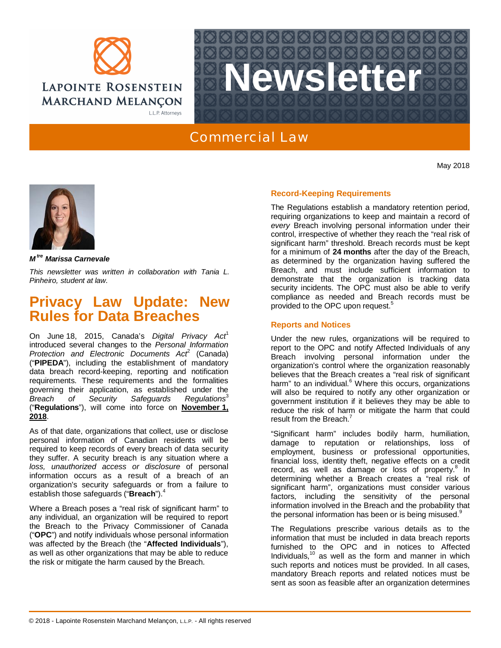



## Commercial Law

May 2018



*M tre Marissa Carnevale*

*This newsletter was written in collaboration with Tania L. Pinheiro, student at law.*

# **Privacy Law Update: New Rules for Data Breaches**

On June 18, 2015, Canada's *Digital Privacy Act*<sup>1</sup> introduced several changes to the *Personal Information* Protection and Electronic Documents Act<sup>2</sup> (Canada) ("**PIPEDA**"), including the establishment of mandatory data breach record-keeping, reporting and notification requirements. These requirements and the formalities governing their application, as established under the *Breach of Security Safeguards Regulations*<sup>3</sup> ("**Regulations**"), will come into force on **November 1, 2018**.

As of that date, organizations that collect, use or disclose personal information of Canadian residents will be required to keep records of every breach of data security they suffer. A security breach is any situation where a *loss, unauthorized access or disclosure* of personal information occurs as a result of a breach of an organization's security safeguards or from a failure to establish those safeguards ("**Breach**").<sup>4</sup>

Where a Breach poses a "real risk of significant harm" to any individual, an organization will be required to report the Breach to the Privacy Commissioner of Canada ("**OPC**") and notify individuals whose personal information was affected by the Breach (the "**Affected Individuals**"), as well as other organizations that may be able to reduce the risk or mitigate the harm caused by the Breach.

### **Record-Keeping Requirements**

The Regulations establish a mandatory retention period, requiring organizations to keep and maintain a record of *every* Breach involving personal information under their control, irrespective of whether they reach the "real risk of significant harm" threshold. Breach records must be kept for a minimum of **24 months** after the day of the Breach, as determined by the organization having suffered the Breach, and must include sufficient information to demonstrate that the organization is tracking data security incidents. The OPC must also be able to verify compliance as needed and Breach records must be provided to the OPC upon request.<sup>5</sup>

#### **Reports and Notices**

Under the new rules, organizations will be required to report to the OPC and notify Affected Individuals of any Breach involving personal information under the organization's control where the organization reasonably believes that the Breach creates a "real risk of significant harm" to an individual.<sup>6</sup> Where this occurs, organizations will also be required to notify any other organization or government institution if it believes they may be able to reduce the risk of harm or mitigate the harm that could result from the Breach.<sup>7</sup>

"Significant harm" includes bodily harm, humiliation, damage to reputation or relationships, loss of employment, business or professional opportunities, financial loss, identity theft, negative effects on a credit record, as well as damage or loss of property.<sup>8</sup> In determining whether a Breach creates a "real risk of significant harm", organizations must consider various factors, including the sensitivity of the personal information involved in the Breach and the probability that the personal information has been or is being misused.<sup>9</sup>

The Regulations prescribe various details as to the information that must be included in data breach reports furnished to the OPC and in notices to Affected Individuals, $10$  as well as the form and manner in which such reports and notices must be provided. In all cases, mandatory Breach reports and related notices must be sent as soon as feasible after an organization determines